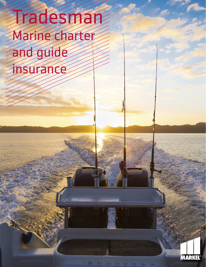# Tradesman Marine charter and guide insurance